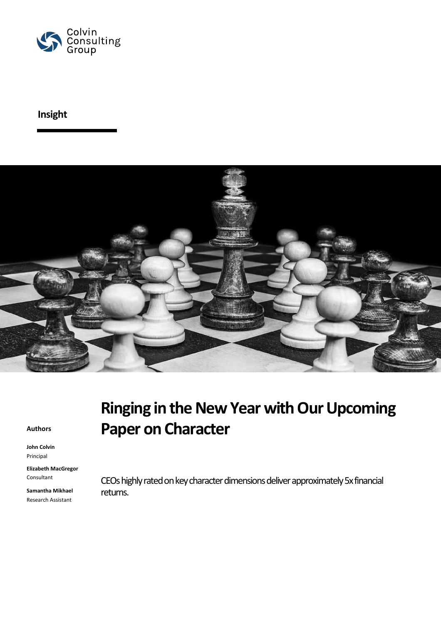

## **Insight**



#### **Authors**

**John Colvin** Principal

**Elizabeth MacGregor** Consultant

**Samantha Mikhael** Research Assistant

# **Ringing in the New Year with Our Upcoming Paper on Character**

CEOs highly rated on key character dimensions deliver approximately 5x financial returns.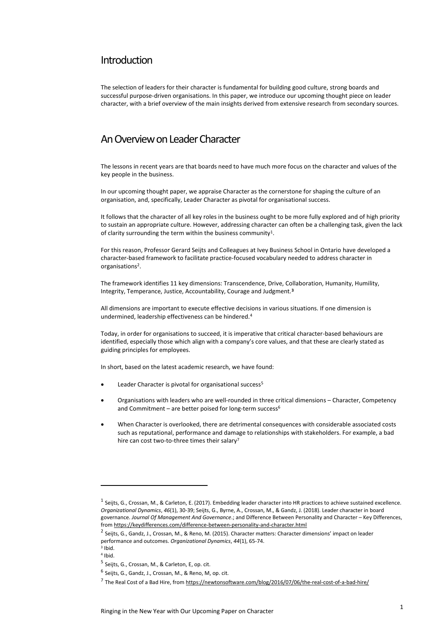#### Introduction

The selection of leaders for their character is fundamental for building good culture, strong boards and successful purpose-driven organisations. In this paper, we introduce our upcoming thought piece on leader character, with a brief overview of the main insights derived from extensive research from secondary sources.

#### An Overview on Leader Character

The lessons in recent years are that boards need to have much more focus on the character and values of the key people in the business.

In our upcoming thought paper, we appraise Character as the cornerstone for shaping the culture of an organisation, and, specifically, Leader Character as pivotal for organisational success.

It follows that the character of all key roles in the business ought to be more fully explored and of high priority to sustain an appropriate culture. However, addressing character can often be a challenging task, given the lack of clarity surrounding the term within the business community<sup>1</sup>.

For this reason, Professor Gerard Seijts and Colleagues at Ivey Business School in Ontario have developed a character-based framework to facilitate practice-focused vocabulary needed to address character in organisations<sup>2</sup>.

The framework identifies 11 key dimensions: Transcendence, Drive, Collaboration, Humanity, Humility, Integrity, Temperance, Justice, Accountability, Courage and Judgment.**<sup>3</sup>**

All dimensions are important to execute effective decisions in various situations. If one dimension is undermined, leadership effectiveness can be hindered.<sup>4</sup>

Today, in order for organisations to succeed, it is imperative that critical character-based behaviours are identified, especially those which align with a company's core values, and that these are clearly stated as guiding principles for employees.

In short, based on the latest academic research, we have found:

- Leader Character is pivotal for organisational success<sup>5</sup>
- Organisations with leaders who are well-rounded in three critical dimensions Character, Competency and Commitment – are better poised for long-term success<sup>6</sup>
- When Character is overlooked, there are detrimental consequences with considerable associated costs such as reputational, performance and damage to relationships with stakeholders. For example, a bad hire can cost two-to-three times their salary<sup>7</sup>

 $\overline{a}$ 

<sup>&</sup>lt;sup>1</sup> Seijts, G., Crossan, M., & Carleton, E. (2017). Embedding leader character into HR practices to achieve sustained excellence. *Organizational Dynamics*, *46*(1), 30-39; Seijts, G., Byrne, A., Crossan, M., & Gandz, J. (2018). Leader character in board governance. *Journal Of Management And Governance*.; and Difference Between Personality and Character – Key Differences, from<https://keydifferences.com/difference-between-personality-and-character.html>

<sup>2</sup> Seijts, G., Gandz, J., Crossan, M., & Reno, M. (2015). Character matters: Character dimensions' impact on leader performance and outcomes. *Organizational Dynamics*, *44*(1), 65-74.

<sup>3</sup> Ibid.

<sup>4</sup> Ibid.

<sup>&</sup>lt;sup>5</sup> Seijts, G., Crossan, M., & Carleton, E, op. cit.

<sup>&</sup>lt;sup>6</sup> Seijts, G., Gandz, J., Crossan, M., & Reno, M, op. cit.

<sup>&</sup>lt;sup>7</sup> The Real Cost of a Bad Hire, from <u>https://newtonsoftware.com/blog/2016/07/06/the-real-cost-of-a-bad-hire/</u>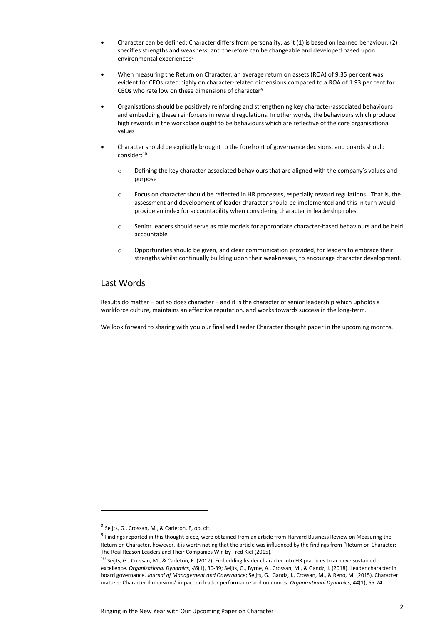- Character can be defined: Character differs from personality, as it (1) is based on learned behaviour, (2) specifies strengths and weakness, and therefore can be changeable and developed based upon environmental experiences<sup>8</sup>
- When measuring the Return on Character, an average return on assets (ROA) of 9.35 per cent was evident for CEOs rated highly on character-related dimensions compared to a ROA of 1.93 per cent for CEOs who rate low on these dimensions of character<sup>9</sup>
- Organisations should be positively reinforcing and strengthening key character-associated behaviours and embedding these reinforcers in reward regulations. In other words, the behaviours which produce high rewards in the workplace ought to be behaviours which are reflective of the core organisational values
- Character should be explicitly brought to the forefront of governance decisions, and boards should consider:<sup>10</sup>
	- o Defining the key character-associated behaviours that are aligned with the company's values and purpose
	- o Focus on character should be reflected in HR processes, especially reward regulations. That is, the assessment and development of leader character should be implemented and this in turn would provide an index for accountability when considering character in leadership roles
	- o Senior leaders should serve as role models for appropriate character-based behaviours and be held accountable
	- $\circ$  Opportunities should be given, and clear communication provided, for leaders to embrace their strengths whilst continually building upon their weaknesses, to encourage character development.

#### Last Words

Results do matter – but so does character – and it is the character of senior leadership which upholds a workforce culture, maintains an effective reputation, and works towards success in the long-term.

We look forward to sharing with you our finalised Leader Character thought paper in the upcoming months.

 $\overline{a}$ 

<sup>&</sup>lt;sup>8</sup> Seijts, G., Crossan, M., & Carleton, E, op. cit.

<sup>&</sup>lt;sup>9</sup> Findings reported in this thought piece, were obtained from an article from Harvard Business Review on Measuring the Return on Character, however, it is worth noting that the article was influenced by the findings from "Return on Character: The Real Reason Leaders and Their Companies Win by Fred Kiel (2015).

<sup>10</sup> Seijts, G., Crossan, M., & Carleton, E. (2017). Embedding leader character into HR practices to achieve sustained excellence. *Organizational Dynamics*, *46*(1), 30-39; Seijts, G., Byrne, A., Crossan, M., & Gandz, J. (2018). Leader character in board governance. *Journal of Management and Governance*; Seijts, G., Gandz, J., Crossan, M., & Reno, M. (2015). Character matters: Character dimensions' impact on leader performance and outcomes. *Organizational Dynamics*, *44*(1), 65-74.